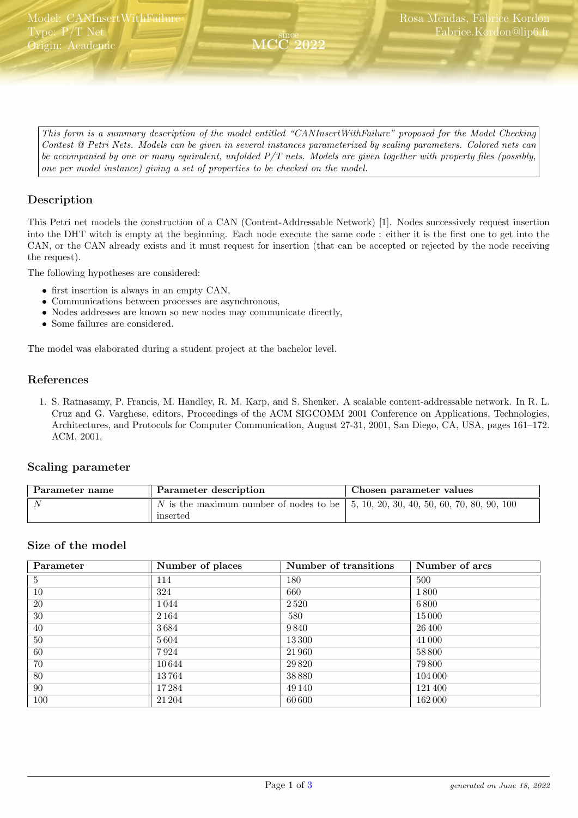<span id="page-0-0"></span>This form is a summary description of the model entitled "CANInsertWithFailure" proposed for the Model Checking Contest @ Petri Nets. Models can be given in several instances parameterized by scaling parameters. Colored nets can be accompanied by one or many equivalent, unfolded  $P/T$  nets. Models are given together with property files (possibly, one per model instance) giving a set of properties to be checked on the model.

since MCC 2022

### Description

This Petri net models the construction of a CAN (Content-Addressable Network) [1]. Nodes successively request insertion into the DHT witch is empty at the beginning. Each node execute the same code : either it is the first one to get into the CAN, or the CAN already exists and it must request for insertion (that can be accepted or rejected by the node receiving the request).

The following hypotheses are considered:

- first insertion is always in an empty CAN,
- Communications between processes are asynchronous,
- Nodes addresses are known so new nodes may communicate directly,
- Some failures are considered.

The model was elaborated during a student project at the bachelor level.

#### References

1. S. Ratnasamy, P. Francis, M. Handley, R. M. Karp, and S. Shenker. A scalable content-addressable network. In R. L. Cruz and G. Varghese, editors, Proceedings of the ACM SIGCOMM 2001 Conference on Applications, Technologies, Architectures, and Protocols for Computer Communication, August 27-31, 2001, San Diego, CA, USA, pages 161–172. ACM, 2001.

#### Scaling parameter

| Parameter name | Parameter description                                                                     | Chosen parameter values |  |
|----------------|-------------------------------------------------------------------------------------------|-------------------------|--|
|                | N is the maximum number of nodes to be $\vert$ 5, 10, 20, 30, 40, 50, 60, 70, 80, 90, 100 |                         |  |
|                | inserted                                                                                  |                         |  |

#### Size of the model

| Parameter | Number of places | Number of transitions | Number of arcs |
|-----------|------------------|-----------------------|----------------|
| 5         | 114              | 180                   | 500            |
| 10        | 324              | 660                   | 1800           |
| 20        | 1044             | 2520                  | 6800           |
| 30        | 2164             | 580                   | 15000          |
| 40        | 3684             | 9840                  | 26 400         |
| 50        | 5604             | 13 300                | 41 000         |
| 60        | 7924             | 21960                 | 58800          |
| 70        | 10644            | 29 8 20               | 79 800         |
| 80        | 13 764           | 38880                 | 104 000        |
| 90        | 17 284           | 49 140                | 121400         |
| 100       | 21 204           | 60 600                | 162000         |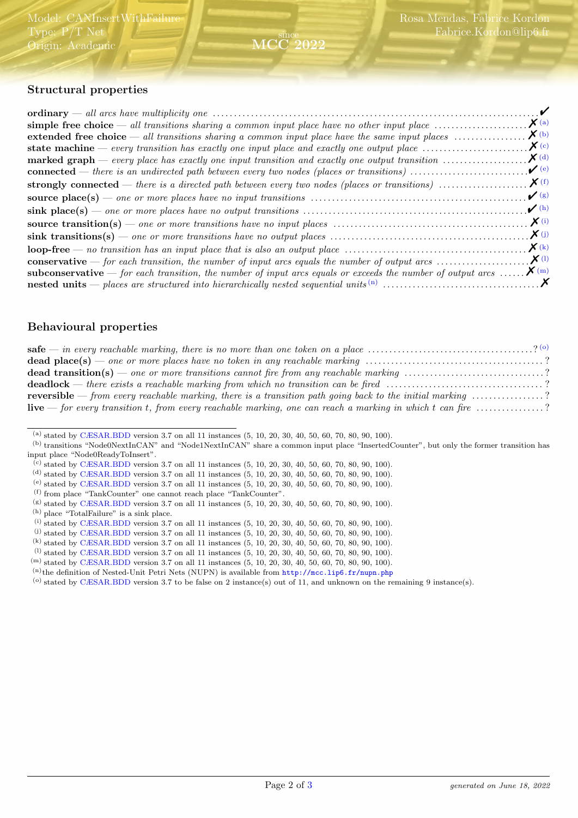

## Structural properties

|                                                                                                                                       | $\sqrt{ }$           |
|---------------------------------------------------------------------------------------------------------------------------------------|----------------------|
|                                                                                                                                       | $\boldsymbol{X}$ (a) |
| extended free choice $-$ all transitions sharing a common input place have the same input places $\dots\dots\dots\dots\dots$          | $\boldsymbol{X}$ (b) |
| state machine — every transition has exactly one input place and exactly one output place $\dots\dots\dots\dots\dots\dots$            | $\chi$ (c)           |
| <b>marked graph</b> — every place has exactly one input transition and exactly one output transition $\dots\dots\dots\dots\dots\dots$ | $\boldsymbol{X}$ (d) |
| <b>connected</b> — there is an undirected path between every two nodes (places or transitions) $\dots\dots\dots\dots\dots\dots\dots$  | $\mathbf{v}^{(e)}$   |
|                                                                                                                                       |                      |
|                                                                                                                                       | $\mathcal{V}(g)$     |
|                                                                                                                                       | $\mathcal{V}$ (h)    |
|                                                                                                                                       |                      |
|                                                                                                                                       | $\chi$ (j)           |
|                                                                                                                                       |                      |
|                                                                                                                                       |                      |
| <b>subconservative</b> — for each transition, the number of input arcs equals or exceeds the number of output arcs $\mathbf{X}^{(m)}$ |                      |
|                                                                                                                                       |                      |

#### Behavioural properties

| safe — in every reachable marking, there is no more than one token on a place $\ldots \ldots \ldots \ldots \ldots \ldots \ldots \ldots$        |  |
|------------------------------------------------------------------------------------------------------------------------------------------------|--|
|                                                                                                                                                |  |
| <b>dead transition(s)</b> — one or more transitions cannot fire from any reachable marking ?                                                   |  |
|                                                                                                                                                |  |
| <b>reversible</b> — from every reachable marking, there is a transition path going back to the initial marking $\ldots \ldots \ldots \ldots$ ? |  |
| <b>live</b> — for every transition t, from every reachable marking, one can reach a marking in which t can fire $\ldots$ ?                     |  |

<span id="page-1-0"></span><sup>(</sup>a) stated by [CÆSAR.BDD](http://cadp.inria.fr/man/caesar.bdd.html) version 3.7 on all 11 instances (5, 10, 20, 30, 40, 50, 60, 70, 80, 90, 100).

- <span id="page-1-2"></span>(c) stated by [CÆSAR.BDD](http://cadp.inria.fr/man/caesar.bdd.html) version 3.7 on all 11 instances (5, 10, 20, 30, 40, 50, 60, 70, 80, 90, 100).
- <span id="page-1-3"></span>(d) stated by [CÆSAR.BDD](http://cadp.inria.fr/man/caesar.bdd.html) version 3.7 on all 11 instances (5, 10, 20, 30, 40, 50, 60, 70, 80, 90, 100).
- <span id="page-1-4"></span>(e) stated by [CÆSAR.BDD](http://cadp.inria.fr/man/caesar.bdd.html) version 3.7 on all 11 instances (5, 10, 20, 30, 40, 50, 60, 70, 80, 90, 100).
- <span id="page-1-5"></span>(f) from place "TankCounter" one cannot reach place "TankCounter".
- <span id="page-1-6"></span>(g) stated by [CÆSAR.BDD](http://cadp.inria.fr/man/caesar.bdd.html) version 3.7 on all 11 instances (5, 10, 20, 30, 40, 50, 60, 70, 80, 90, 100).
- <span id="page-1-7"></span>(h) place "TotalFailure" is a sink place.
- <span id="page-1-8"></span>(i) stated by [CÆSAR.BDD](http://cadp.inria.fr/man/caesar.bdd.html) version 3.7 on all 11 instances (5, 10, 20, 30, 40, 50, 60, 70, 80, 90, 100).
- <span id="page-1-9"></span>(j) stated by [CÆSAR.BDD](http://cadp.inria.fr/man/caesar.bdd.html) version 3.7 on all 11 instances (5, 10, 20, 30, 40, 50, 60, 70, 80, 90, 100).
- <span id="page-1-10"></span>(k) stated by [CÆSAR.BDD](http://cadp.inria.fr/man/caesar.bdd.html) version 3.7 on all 11 instances (5, 10, 20, 30, 40, 50, 60, 70, 80, 90, 100).
- <span id="page-1-11"></span> $(1)$  stated by [CÆSAR.BDD](http://cadp.inria.fr/man/caesar.bdd.html) version 3.7 on all 11 instances  $(5, 10, 20, 30, 40, 50, 60, 70, 80, 90, 100)$ .
- <span id="page-1-12"></span>(m) stated by [CÆSAR.BDD](http://cadp.inria.fr/man/caesar.bdd.html) version 3.7 on all 11 instances (5, 10, 20, 30, 40, 50, 60, 70, 80, 90, 100).

<span id="page-1-14"></span>(o) stated by [CÆSAR.BDD](http://cadp.inria.fr/man/caesar.bdd.html) version 3.7 to be false on 2 instance(s) out of 11, and unknown on the remaining 9 instance(s).

<span id="page-1-1"></span><sup>(</sup>b) transitions "Node0NextInCAN" and "Node1NextInCAN" share a common input place "InsertedCounter", but only the former transition has input place "Node0ReadyToInsert".

<span id="page-1-13"></span> $(n)$ the definition of Nested-Unit Petri Nets (NUPN) is available from <http://mcc.lip6.fr/nupn.php>